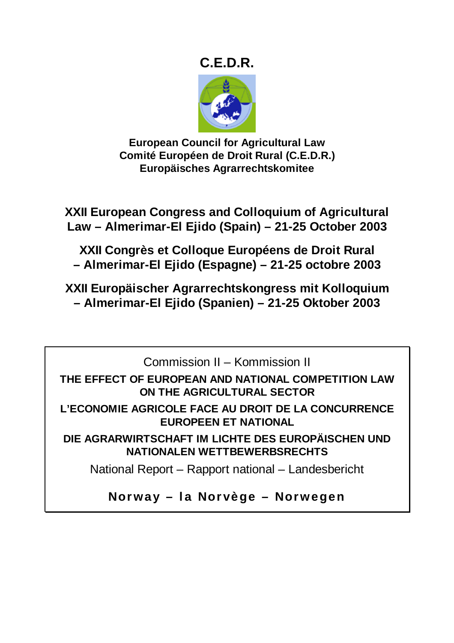# **C.E.D.R.**



**European Council for Agricultural Law Comité Européen de Droit Rural (C.E.D.R.) Europäisches Agrarrechtskomitee** 

**XXII European Congress and Colloquium of Agricultural Law – Almerimar-El Ejido (Spain) – 21-25 October 2003** 

**XXII Congrès et Colloque Européens de Droit Rural – Almerimar-El Ejido (Espagne) – 21-25 octobre 2003** 

**XXII Europäischer Agrarrechtskongress mit Kolloquium – Almerimar-El Ejido (Spanien) – 21-25 Oktober 2003** 

Commission II – Kommission II

**THE EFFECT OF EUROPEAN AND NATIONAL COMPETITION LAW ON THE AGRICULTURAL SECTOR** 

**L'ECONOMIE AGRICOLE FACE AU DROIT DE LA CONCURRENCE EUROPEEN ET NATIONAL** 

**DIE AGRARWIRTSCHAFT IM LICHTE DES EUROPÄISCHEN UND NATIONALEN WETTBEWERBSRECHTS** 

National Report – Rapport national – Landesbericht

**Norway – la Norvège – Norwegen**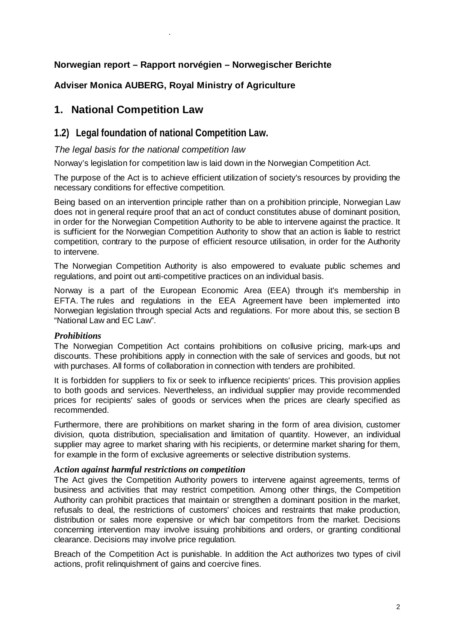# **Norwegian report – Rapport norvégien – Norwegischer Berichte**

# **Adviser Monica AUBERG, Royal Ministry of Agriculture**

# **1. National Competition Law**

.

# **1.2) Legal foundation of national Competition Law.**

# *The legal basis for the national competition law*

Norway's legislation for competition law is laid down in the Norwegian Competition Act.

The purpose of the Act is to achieve efficient utilization of society's resources by providing the necessary conditions for effective competition.

Being based on an intervention principle rather than on a prohibition principle, Norwegian Law does not in general require proof that an act of conduct constitutes abuse of dominant position, in order for the Norwegian Competition Authority to be able to intervene against the practice. It is sufficient for the Norwegian Competition Authority to show that an action is liable to restrict competition, contrary to the purpose of efficient resource utilisation, in order for the Authority to intervene.

The Norwegian Competition Authority is also empowered to evaluate public schemes and regulations, and point out anti-competitive practices on an individual basis.

Norway is a part of the European Economic Area (EEA) through it's membership in EFTA. The rules and regulations in the EEA Agreement have been implemented into Norwegian legislation through special Acts and regulations. For more about this, se section B "National Law and EC Law".

# *Prohibitions*

The Norwegian Competition Act contains prohibitions on collusive pricing, mark-ups and discounts. These prohibitions apply in connection with the sale of services and goods, but not with purchases. All forms of collaboration in connection with tenders are prohibited.

It is forbidden for suppliers to fix or seek to influence recipients' prices. This provision applies to both goods and services. Nevertheless, an individual supplier may provide recommended prices for recipients' sales of goods or services when the prices are clearly specified as recommended.

Furthermore, there are prohibitions on market sharing in the form of area division, customer division, quota distribution, specialisation and limitation of quantity. However, an individual supplier may agree to market sharing with his recipients, or determine market sharing for them, for example in the form of exclusive agreements or selective distribution systems.

#### *Action against harmful restrictions on competition*

The Act gives the Competition Authority powers to intervene against agreements, terms of business and activities that may restrict competition. Among other things, the Competition Authority can prohibit practices that maintain or strengthen a dominant position in the market, refusals to deal, the restrictions of customers' choices and restraints that make production, distribution or sales more expensive or which bar competitors from the market. Decisions concerning intervention may involve issuing prohibitions and orders, or granting conditional clearance. Decisions may involve price regulation.

Breach of the Competition Act is punishable. In addition the Act authorizes two types of civil actions, profit relinquishment of gains and coercive fines.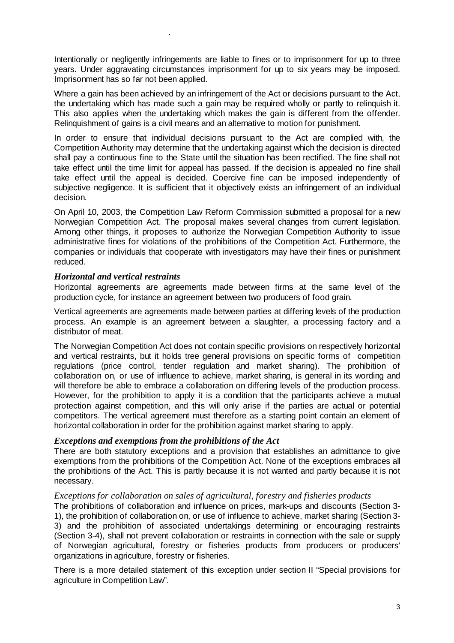Intentionally or negligently infringements are liable to fines or to imprisonment for up to three years. Under aggravating circumstances imprisonment for up to six years may be imposed. Imprisonment has so far not been applied.

Where a gain has been achieved by an infringement of the Act or decisions pursuant to the Act, the undertaking which has made such a gain may be required wholly or partly to relinquish it. This also applies when the undertaking which makes the gain is different from the offender. Relinquishment of gains is a civil means and an alternative to motion for punishment.

In order to ensure that individual decisions pursuant to the Act are complied with, the Competition Authority may determine that the undertaking against which the decision is directed shall pay a continuous fine to the State until the situation has been rectified. The fine shall not take effect until the time limit for appeal has passed. If the decision is appealed no fine shall take effect until the appeal is decided. Coercive fine can be imposed independently of subjective negligence. It is sufficient that it objectively exists an infringement of an individual decision.

On April 10, 2003, the Competition Law Reform Commission submitted a proposal for a new Norwegian Competition Act. The proposal makes several changes from current legislation. Among other things, it proposes to authorize the Norwegian Competition Authority to issue administrative fines for violations of the prohibitions of the Competition Act. Furthermore, the companies or individuals that cooperate with investigators may have their fines or punishment reduced.

# *Horizontal and vertical restraints*

.

Horizontal agreements are agreements made between firms at the same level of the production cycle, for instance an agreement between two producers of food grain.

Vertical agreements are agreements made between parties at differing levels of the production process. An example is an agreement between a slaughter, a processing factory and a distributor of meat.

The Norwegian Competition Act does not contain specific provisions on respectively horizontal and vertical restraints, but it holds tree general provisions on specific forms of competition regulations (price control, tender regulation and market sharing). The prohibition of collaboration on, or use of influence to achieve, market sharing, is general in its wording and will therefore be able to embrace a collaboration on differing levels of the production process. However, for the prohibition to apply it is a condition that the participants achieve a mutual protection against competition, and this will only arise if the parties are actual or potential competitors. The vertical agreement must therefore as a starting point contain an element of horizontal collaboration in order for the prohibition against market sharing to apply.

# *Exceptions and exemptions from the prohibitions of the Act*

There are both statutory exceptions and a provision that establishes an admittance to give exemptions from the prohibitions of the Competition Act. None of the exceptions embraces all the prohibitions of the Act. This is partly because it is not wanted and partly because it is not necessary.

# *Exceptions for collaboration on sales of agricultural, forestry and fisheries products*

The prohibitions of collaboration and influence on prices, mark-ups and discounts (Section 3- 1), the prohibition of collaboration on, or use of influence to achieve, market sharing (Section 3- 3) and the prohibition of associated undertakings determining or encouraging restraints (Section 3-4), shall not prevent collaboration or restraints in connection with the sale or supply of Norwegian agricultural, forestry or fisheries products from producers or producers' organizations in agriculture, forestry or fisheries.

There is a more detailed statement of this exception under section II "Special provisions for agriculture in Competition Law".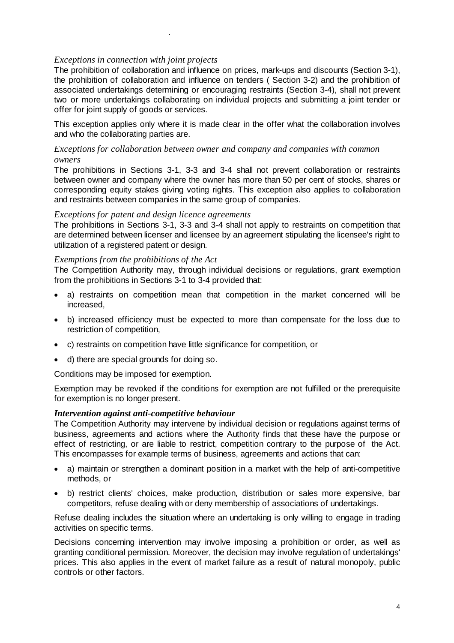# *Exceptions in connection with joint projects*

.

The prohibition of collaboration and influence on prices, mark-ups and discounts (Section 3-1), the prohibition of collaboration and influence on tenders ( Section 3-2) and the prohibition of associated undertakings determining or encouraging restraints (Section 3-4), shall not prevent two or more undertakings collaborating on individual projects and submitting a joint tender or offer for joint supply of goods or services.

This exception applies only where it is made clear in the offer what the collaboration involves and who the collaborating parties are.

# *Exceptions for collaboration between owner and company and companies with common owners*

The prohibitions in Sections 3-1, 3-3 and 3-4 shall not prevent collaboration or restraints between owner and company where the owner has more than 50 per cent of stocks, shares or corresponding equity stakes giving voting rights. This exception also applies to collaboration and restraints between companies in the same group of companies.

#### *Exceptions for patent and design licence agreements*

The prohibitions in Sections 3-1, 3-3 and 3-4 shall not apply to restraints on competition that are determined between licenser and licensee by an agreement stipulating the licensee's right to utilization of a registered patent or design.

#### *Exemptions from the prohibitions of the Act*

The Competition Authority may, through individual decisions or regulations, grant exemption from the prohibitions in Sections 3-1 to 3-4 provided that:

- a) restraints on competition mean that competition in the market concerned will be increased,
- b) increased efficiency must be expected to more than compensate for the loss due to restriction of competition,
- c) restraints on competition have little significance for competition, or
- d) there are special grounds for doing so.

Conditions may be imposed for exemption.

Exemption may be revoked if the conditions for exemption are not fulfilled or the prerequisite for exemption is no longer present.

#### *Intervention against anti-competitive behaviour*

The Competition Authority may intervene by individual decision or regulations against terms of business, agreements and actions where the Authority finds that these have the purpose or effect of restricting, or are liable to restrict, competition contrary to the purpose of the Act. This encompasses for example terms of business, agreements and actions that can:

- a) maintain or strengthen a dominant position in a market with the help of anti-competitive methods, or
- b) restrict clients' choices, make production, distribution or sales more expensive, bar competitors, refuse dealing with or deny membership of associations of undertakings.

Refuse dealing includes the situation where an undertaking is only willing to engage in trading activities on specific terms.

Decisions concerning intervention may involve imposing a prohibition or order, as well as granting conditional permission. Moreover, the decision may involve regulation of undertakings' prices. This also applies in the event of market failure as a result of natural monopoly, public controls or other factors.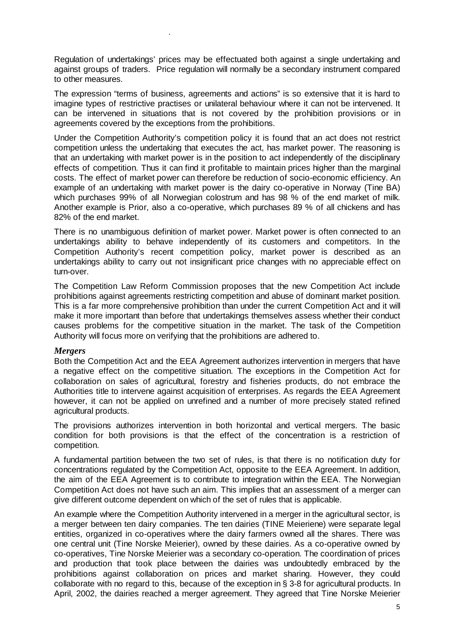Regulation of undertakings' prices may be effectuated both against a single undertaking and against groups of traders. Price regulation will normally be a secondary instrument compared to other measures.

The expression "terms of business, agreements and actions" is so extensive that it is hard to imagine types of restrictive practises or unilateral behaviour where it can not be intervened. It can be intervened in situations that is not covered by the prohibition provisions or in agreements covered by the exceptions from the prohibitions.

Under the Competition Authority's competition policy it is found that an act does not restrict competition unless the undertaking that executes the act, has market power. The reasoning is that an undertaking with market power is in the position to act independently of the disciplinary effects of competition. Thus it can find it profitable to maintain prices higher than the marginal costs. The effect of market power can therefore be reduction of socio-economic efficiency. An example of an undertaking with market power is the dairy co-operative in Norway (Tine BA) which purchases 99% of all Norwegian colostrum and has 98 % of the end market of milk. Another example is Prior, also a co-operative, which purchases 89 % of all chickens and has 82% of the end market.

There is no unambiguous definition of market power. Market power is often connected to an undertakings ability to behave independently of its customers and competitors. In the Competition Authority's recent competition policy, market power is described as an undertakings ability to carry out not insignificant price changes with no appreciable effect on turn-over.

The Competition Law Reform Commission proposes that the new Competition Act include prohibitions against agreements restricting competition and abuse of dominant market position. This is a far more comprehensive prohibition than under the current Competition Act and it will make it more important than before that undertakings themselves assess whether their conduct causes problems for the competitive situation in the market. The task of the Competition Authority will focus more on verifying that the prohibitions are adhered to.

# *Mergers*

.

Both the Competition Act and the EEA Agreement authorizes intervention in mergers that have a negative effect on the competitive situation. The exceptions in the Competition Act for collaboration on sales of agricultural, forestry and fisheries products, do not embrace the Authorities title to intervene against acquisition of enterprises. As regards the EEA Agreement however, it can not be applied on unrefined and a number of more precisely stated refined agricultural products.

The provisions authorizes intervention in both horizontal and vertical mergers. The basic condition for both provisions is that the effect of the concentration is a restriction of competition.

A fundamental partition between the two set of rules, is that there is no notification duty for concentrations regulated by the Competition Act, opposite to the EEA Agreement. In addition, the aim of the EEA Agreement is to contribute to integration within the EEA. The Norwegian Competition Act does not have such an aim. This implies that an assessment of a merger can give different outcome dependent on which of the set of rules that is applicable.

An example where the Competition Authority intervened in a merger in the agricultural sector, is a merger between ten dairy companies. The ten dairies (TINE Meieriene) were separate legal entities, organized in co-operatives where the dairy farmers owned all the shares. There was one central unit (Tine Norske Meierier), owned by these dairies. As a co-operative owned by co-operatives, Tine Norske Meierier was a secondary co-operation. The coordination of prices and production that took place between the dairies was undoubtedly embraced by the prohibitions against collaboration on prices and market sharing. However, they could collaborate with no regard to this, because of the exception in § 3-8 for agricultural products. In April, 2002, the dairies reached a merger agreement. They agreed that Tine Norske Meierier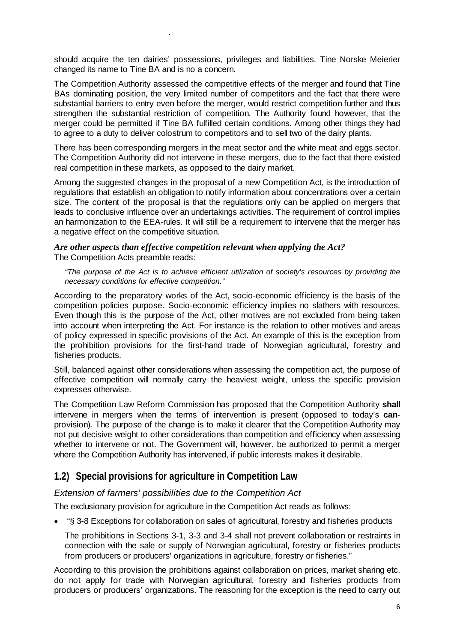should acquire the ten dairies' possessions, privileges and liabilities. Tine Norske Meierier changed its name to Tine BA and is no a concern.

.

The Competition Authority assessed the competitive effects of the merger and found that Tine BAs dominating position, the very limited number of competitors and the fact that there were substantial barriers to entry even before the merger, would restrict competition further and thus strengthen the substantial restriction of competition. The Authority found however, that the merger could be permitted if Tine BA fulfilled certain conditions. Among other things they had to agree to a duty to deliver colostrum to competitors and to sell two of the dairy plants.

There has been corresponding mergers in the meat sector and the white meat and eggs sector. The Competition Authority did not intervene in these mergers, due to the fact that there existed real competition in these markets, as opposed to the dairy market.

Among the suggested changes in the proposal of a new Competition Act, is the introduction of regulations that establish an obligation to notify information about concentrations over a certain size. The content of the proposal is that the regulations only can be applied on mergers that leads to conclusive influence over an undertakings activities. The requirement of control implies an harmonization to the EEA-rules. It will still be a requirement to intervene that the merger has a negative effect on the competitive situation.

# *Are other aspects than effective competition relevant when applying the Act?*  The Competition Acts preamble reads:

*"The purpose of the Act is to achieve efficient utilization of society's resources by providing the necessary conditions for effective competition."* 

According to the preparatory works of the Act, socio-economic efficiency is the basis of the competition policies purpose. Socio-economic efficiency implies no slathers with resources. Even though this is the purpose of the Act, other motives are not excluded from being taken into account when interpreting the Act. For instance is the relation to other motives and areas of policy expressed in specific provisions of the Act. An example of this is the exception from the prohibition provisions for the first-hand trade of Norwegian agricultural, forestry and fisheries products.

Still, balanced against other considerations when assessing the competition act, the purpose of effective competition will normally carry the heaviest weight, unless the specific provision expresses otherwise.

The Competition Law Reform Commission has proposed that the Competition Authority **shall**  intervene in mergers when the terms of intervention is present (opposed to today's **can**provision). The purpose of the change is to make it clearer that the Competition Authority may not put decisive weight to other considerations than competition and efficiency when assessing whether to intervene or not. The Government will, however, be authorized to permit a merger where the Competition Authority has intervened, if public interests makes it desirable.

# **1.2) Special provisions for agriculture in Competition Law**

# *Extension of farmers' possibilities due to the Competition Act*

The exclusionary provision for agriculture in the Competition Act reads as follows:

• "§ 3-8 Exceptions for collaboration on sales of agricultural, forestry and fisheries products

The prohibitions in Sections 3-1, 3-3 and 3-4 shall not prevent collaboration or restraints in connection with the sale or supply of Norwegian agricultural, forestry or fisheries products from producers or producers' organizations in agriculture, forestry or fisheries."

According to this provision the prohibitions against collaboration on prices, market sharing etc. do not apply for trade with Norwegian agricultural, forestry and fisheries products from producers or producers' organizations. The reasoning for the exception is the need to carry out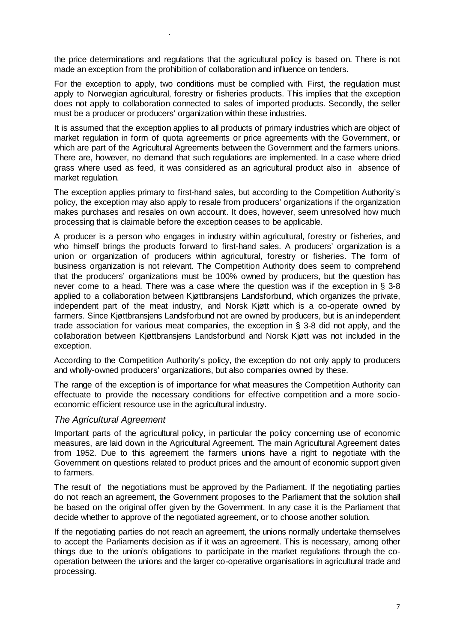the price determinations and regulations that the agricultural policy is based on. There is not made an exception from the prohibition of collaboration and influence on tenders.

For the exception to apply, two conditions must be complied with. First, the regulation must apply to Norwegian agricultural, forestry or fisheries products. This implies that the exception does not apply to collaboration connected to sales of imported products. Secondly, the seller must be a producer or producers' organization within these industries.

It is assumed that the exception applies to all products of primary industries which are object of market regulation in form of quota agreements or price agreements with the Government, or which are part of the Agricultural Agreements between the Government and the farmers unions. There are, however, no demand that such regulations are implemented. In a case where dried grass where used as feed, it was considered as an agricultural product also in absence of market regulation.

The exception applies primary to first-hand sales, but according to the Competition Authority's policy, the exception may also apply to resale from producers' organizations if the organization makes purchases and resales on own account. It does, however, seem unresolved how much processing that is claimable before the exception ceases to be applicable.

A producer is a person who engages in industry within agricultural, forestry or fisheries, and who himself brings the products forward to first-hand sales. A producers' organization is a union or organization of producers within agricultural, forestry or fisheries. The form of business organization is not relevant. The Competition Authority does seem to comprehend that the producers' organizations must be 100% owned by producers, but the question has never come to a head. There was a case where the question was if the exception in § 3-8 applied to a collaboration between Kjøttbransjens Landsforbund, which organizes the private, independent part of the meat industry, and Norsk Kjøtt which is a co-operate owned by farmers. Since Kjøttbransjens Landsforbund not are owned by producers, but is an independent trade association for various meat companies, the exception in § 3-8 did not apply, and the collaboration between Kjøttbransjens Landsforbund and Norsk Kjøtt was not included in the exception.

According to the Competition Authority's policy, the exception do not only apply to producers and wholly-owned producers' organizations, but also companies owned by these.

The range of the exception is of importance for what measures the Competition Authority can effectuate to provide the necessary conditions for effective competition and a more socioeconomic efficient resource use in the agricultural industry.

# *The Agricultural Agreement*

.

Important parts of the agricultural policy, in particular the policy concerning use of economic measures, are laid down in the Agricultural Agreement. The main Agricultural Agreement dates from 1952. Due to this agreement the farmers unions have a right to negotiate with the Government on questions related to product prices and the amount of economic support given to farmers.

The result of the negotiations must be approved by the Parliament. If the negotiating parties do not reach an agreement, the Government proposes to the Parliament that the solution shall be based on the original offer given by the Government. In any case it is the Parliament that decide whether to approve of the negotiated agreement, or to choose another solution.

If the negotiating parties do not reach an agreement, the unions normally undertake themselves to accept the Parliaments decision as if it was an agreement. This is necessary, among other things due to the union's obligations to participate in the market regulations through the cooperation between the unions and the larger co-operative organisations in agricultural trade and processing.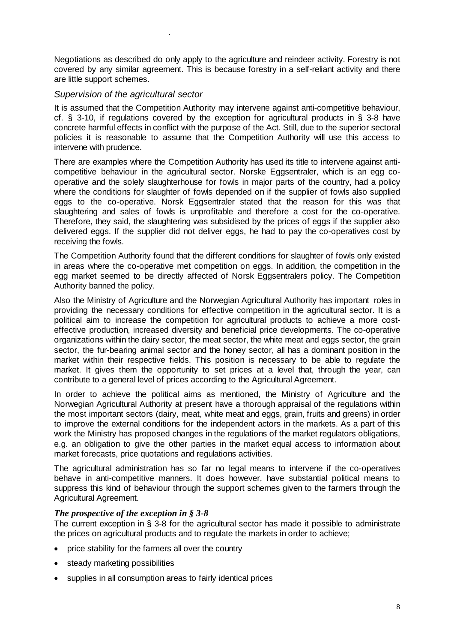Negotiations as described do only apply to the agriculture and reindeer activity. Forestry is not covered by any similar agreement. This is because forestry in a self-reliant activity and there are little support schemes.

# *Supervision of the agricultural sector*

.

It is assumed that the Competition Authority may intervene against anti-competitive behaviour, cf.  $\&$  3-10, if regulations covered by the exception for agricultural products in  $\&$  3-8 have concrete harmful effects in conflict with the purpose of the Act. Still, due to the superior sectoral policies it is reasonable to assume that the Competition Authority will use this access to intervene with prudence.

There are examples where the Competition Authority has used its title to intervene against anticompetitive behaviour in the agricultural sector. Norske Eggsentraler, which is an egg cooperative and the solely slaughterhouse for fowls in major parts of the country, had a policy where the conditions for slaughter of fowls depended on if the supplier of fowls also supplied eggs to the co-operative. Norsk Eggsentraler stated that the reason for this was that slaughtering and sales of fowls is unprofitable and therefore a cost for the co-operative. Therefore, they said, the slaughtering was subsidised by the prices of eggs if the supplier also delivered eggs. If the supplier did not deliver eggs, he had to pay the co-operatives cost by receiving the fowls.

The Competition Authority found that the different conditions for slaughter of fowls only existed in areas where the co-operative met competition on eggs. In addition, the competition in the egg market seemed to be directly affected of Norsk Eggsentralers policy. The Competition Authority banned the policy.

Also the Ministry of Agriculture and the Norwegian Agricultural Authority has important roles in providing the necessary conditions for effective competition in the agricultural sector. It is a political aim to increase the competition for agricultural products to achieve a more costeffective production, increased diversity and beneficial price developments. The co-operative organizations within the dairy sector, the meat sector, the white meat and eggs sector, the grain sector, the fur-bearing animal sector and the honey sector, all has a dominant position in the market within their respective fields. This position is necessary to be able to regulate the market. It gives them the opportunity to set prices at a level that, through the year, can contribute to a general level of prices according to the Agricultural Agreement.

In order to achieve the political aims as mentioned, the Ministry of Agriculture and the Norwegian Agricultural Authority at present have a thorough appraisal of the regulations within the most important sectors (dairy, meat, white meat and eggs, grain, fruits and greens) in order to improve the external conditions for the independent actors in the markets. As a part of this work the Ministry has proposed changes in the regulations of the market regulators obligations, e.g. an obligation to give the other parties in the market equal access to information about market forecasts, price quotations and regulations activities.

The agricultural administration has so far no legal means to intervene if the co-operatives behave in anti-competitive manners. It does however, have substantial political means to suppress this kind of behaviour through the support schemes given to the farmers through the Agricultural Agreement.

# *The prospective of the exception in § 3-8*

The current exception in § 3-8 for the agricultural sector has made it possible to administrate the prices on agricultural products and to regulate the markets in order to achieve;

- price stability for the farmers all over the country
- steady marketing possibilities
- supplies in all consumption areas to fairly identical prices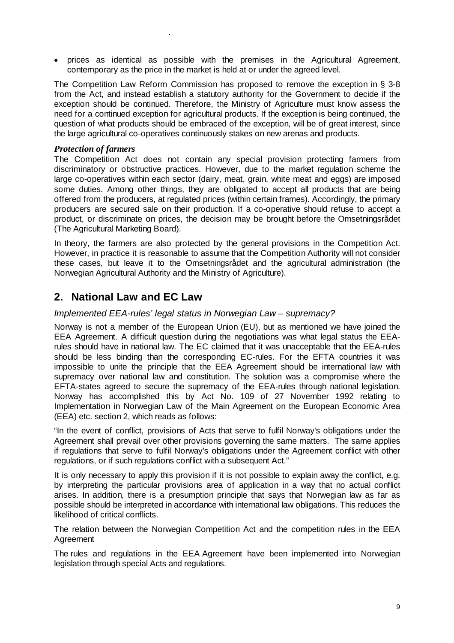• prices as identical as possible with the premises in the Agricultural Agreement, contemporary as the price in the market is held at or under the agreed level.

The Competition Law Reform Commission has proposed to remove the exception in § 3-8 from the Act, and instead establish a statutory authority for the Government to decide if the exception should be continued. Therefore, the Ministry of Agriculture must know assess the need for a continued exception for agricultural products. If the exception is being continued, the question of what products should be embraced of the exception, will be of great interest, since the large agricultural co-operatives continuously stakes on new arenas and products.

# *Protection of farmers*

.

The Competition Act does not contain any special provision protecting farmers from discriminatory or obstructive practices. However, due to the market regulation scheme the large co-operatives within each sector (dairy, meat, grain, white meat and eggs) are imposed some duties. Among other things, they are obligated to accept all products that are being offered from the producers, at regulated prices (within certain frames). Accordingly, the primary producers are secured sale on their production. If a co-operative should refuse to accept a product, or discriminate on prices, the decision may be brought before the Omsetningsrådet (The Agricultural Marketing Board).

In theory, the farmers are also protected by the general provisions in the Competition Act. However, in practice it is reasonable to assume that the Competition Authority will not consider these cases, but leave it to the Omsetningsrådet and the agricultural administration (the Norwegian Agricultural Authority and the Ministry of Agriculture).

# **2. National Law and EC Law**

# *Implemented EEA-rules' legal status in Norwegian Law – supremacy?*

Norway is not a member of the European Union (EU), but as mentioned we have joined the EEA Agreement. A difficult question during the negotiations was what legal status the EEArules should have in national law. The EC claimed that it was unacceptable that the EEA-rules should be less binding than the corresponding EC-rules. For the EFTA countries it was impossible to unite the principle that the EEA Agreement should be international law with supremacy over national law and constitution. The solution was a compromise where the EFTA-states agreed to secure the supremacy of the EEA-rules through national legislation. Norway has accomplished this by Act No. 109 of 27 November 1992 relating to Implementation in Norwegian Law of the Main Agreement on the European Economic Area (EEA) etc. section 2, which reads as follows:

"In the event of conflict, provisions of Acts that serve to fulfil Norway's obligations under the Agreement shall prevail over other provisions governing the same matters. The same applies if regulations that serve to fulfil Norway's obligations under the Agreement conflict with other regulations, or if such regulations conflict with a subsequent Act."

It is only necessary to apply this provision if it is not possible to explain away the conflict, e.g. by interpreting the particular provisions area of application in a way that no actual conflict arises. In addition, there is a presumption principle that says that Norwegian law as far as possible should be interpreted in accordance with international law obligations. This reduces the likelihood of critical conflicts.

The relation between the Norwegian Competition Act and the competition rules in the EEA **Agreement** 

The rules and regulations in the EEA Agreement have been implemented into Norwegian legislation through special Acts and regulations.